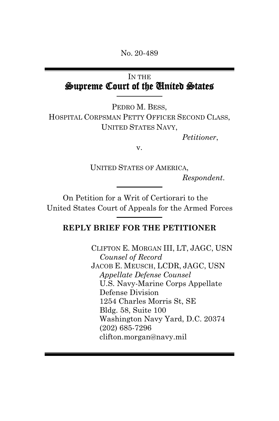No. 20-489

## IN THE Supreme Court of the United States

PEDRO M. BESS, HOSPITAL CORPSMAN PETTY OFFICER SECOND CLASS, UNITED STATES NAVY,

*Petitioner*,

v.

UNITED STATES OF AMERICA,

*Respondent*.

On Petition for a Writ of Certiorari to the United States Court of Appeals for the Armed Forces

#### **REPLY BRIEF FOR THE PETITIONER**

CLIFTON E. MORGAN III, LT, JAGC, USN *Counsel of Record* JACOB E. MEUSCH, LCDR, JAGC, USN *Appellate Defense Counsel*  U.S. Navy-Marine Corps Appellate Defense Division 1254 Charles Morris St, SE Bldg. 58, Suite 100 Washington Navy Yard, D.C. 20374 (202) 685-7296 clifton.morgan@navy.mil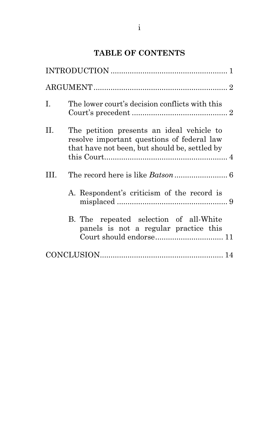# **TABLE OF CONTENTS**

| Ι. | The lower court's decision conflicts with this                                                                                           |
|----|------------------------------------------------------------------------------------------------------------------------------------------|
| П. | The petition presents an ideal vehicle to<br>resolve important questions of federal law<br>that have not been, but should be, settled by |
| Ш  |                                                                                                                                          |
|    | A. Respondent's criticism of the record is                                                                                               |
|    | B. The repeated selection of all-White<br>panels is not a regular practice this<br>Court should endorse 11                               |
|    |                                                                                                                                          |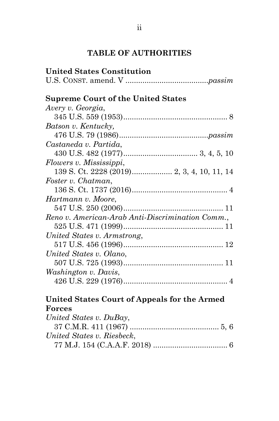## **TABLE OF AUTHORITIES**

| <b>United States Constitution</b>                |  |
|--------------------------------------------------|--|
|                                                  |  |
| <b>Supreme Court of the United States</b>        |  |
| Avery v. Georgia,                                |  |
|                                                  |  |
| Batson v. Kentucky,                              |  |
|                                                  |  |
| Castaneda v. Partida,                            |  |
|                                                  |  |
| Flowers v. Mississippi,                          |  |
|                                                  |  |
| Foster v. Chatman,                               |  |
|                                                  |  |
| Hartmann v. Moore,                               |  |
|                                                  |  |
| Reno v. American-Arab Anti-Discrimination Comm., |  |
|                                                  |  |
| United States v. Armstrong,                      |  |
|                                                  |  |
| United States v. Olano,                          |  |
|                                                  |  |
| <i>Washington v. Davis,</i>                      |  |
|                                                  |  |
|                                                  |  |

## **United States Court of Appeals for the Armed Forces**

| United States v. DuBay,    |  |
|----------------------------|--|
|                            |  |
| United States v. Riesbeck, |  |
|                            |  |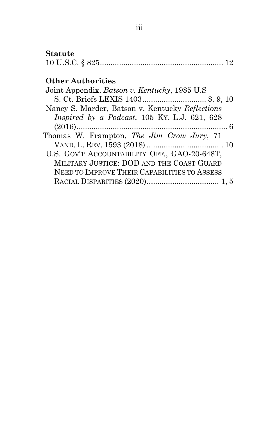# **Statute**

|--|--|

# **Other Authorities**

| Joint Appendix, Batson v. Kentucky, 1985 U.S.          |
|--------------------------------------------------------|
|                                                        |
| Nancy S. Marder, Batson v. Kentucky Reflections        |
| <i>Inspired by a Podcast</i> , $105$ KY. L.J. 621, 628 |
|                                                        |
| Thomas W. Frampton, <i>The Jim Crow Jury</i> , 71      |
|                                                        |
| U.S. GOV'T ACCOUNTABILITY OFF., GAO-20-648T,           |
| MILITARY JUSTICE: DOD AND THE COAST GUARD              |
| NEED TO IMPROVE THEIR CAPABILITIES TO ASSESS           |
|                                                        |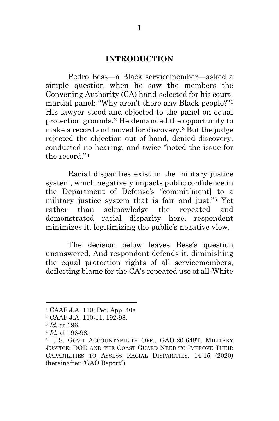#### **INTRODUCTION**

Pedro Bess—a Black servicemember—asked a simple question when he saw the members the Convening Authority (CA) hand-selected for his courtmartial panel: "Why aren't there any Black people?"[1](#page-4-0) His lawyer stood and objected to the panel on equal protection grounds.[2](#page-4-1) He demanded the opportunity to make a record and moved for discovery.[3](#page-4-2) But the judge rejected the objection out of hand, denied discovery, conducted no hearing, and twice "noted the issue for the record."[4](#page-4-3)

Racial disparities exist in the military justice system, which negatively impacts public confidence in the Department of Defense's "commit[ment] to a military justice system that is fair and just."[5](#page-4-4) Yet rather than acknowledge the repeated and demonstrated racial disparity here, respondent minimizes it, legitimizing the public's negative view.

The decision below leaves Bess's question unanswered. And respondent defends it, diminishing the equal protection rights of all servicemembers, deflecting blame for the CA's repeated use of all-White

<span id="page-4-0"></span><sup>1</sup> CAAF J.A. 110; Pet. App. 40a.

<span id="page-4-1"></span><sup>2</sup> CAAF J.A. 110-11, 192-98.

<span id="page-4-2"></span><sup>3</sup> *Id.* at 196.

<span id="page-4-3"></span><sup>4</sup> *Id.* at 196-98.

<span id="page-4-4"></span><sup>5</sup> U.S. GOV'T ACCOUNTABILITY OFF., GAO-20-648T, MILITARY JUSTICE: DOD AND THE COAST GUARD NEED TO IMPROVE THEIR CAPABILITIES TO ASSESS RACIAL DISPARITIES, 14-15 (2020) (hereinafter "GAO Report").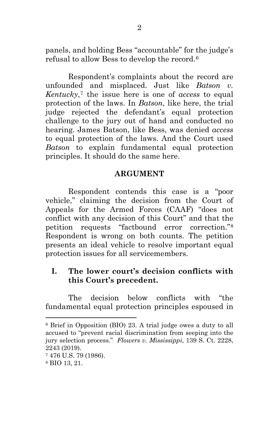panels, and holding Bess "accountable" for the judge's refusal to allow Bess to develop the record.[6](#page-5-0)

Respondent's complaints about the record are unfounded and misplaced. Just like *Batson v. Kentucky*,[7](#page-5-1) the issue here is one of *access* to equal protection of the laws. In *Batson*, like here, the trial judge rejected the defendant's equal protection challenge to the jury out of hand and conducted no hearing. James Batson, like Bess, was denied *access* to equal protection of the laws. And the Court used *Batson* to explain fundamental equal protection principles. It should do the same here.

### **ARGUMENT**

Respondent contends this case is a "poor vehicle," claiming the decision from the Court of Appeals for the Armed Forces (CAAF) "does not conflict with any decision of this Court" and that the petition requests "factbound error correction."[8](#page-5-2) Respondent is wrong on both counts. The petition presents an ideal vehicle to resolve important equal protection issues for all servicemembers.

### **I. The lower court's decision conflicts with this Court's precedent.**

The decision below conflicts with "the fundamental equal protection principles espoused in

<span id="page-5-0"></span><sup>6</sup> Brief in Opposition (BIO) 23. A trial judge owes a duty to all accused to "prevent racial discrimination from seeping into the jury selection process." *Flowers v. Mississippi*, 139 S. Ct. 2228, 2243 (2019).

<span id="page-5-1"></span><sup>7</sup> 476 U.S. 79 (1986).

<span id="page-5-2"></span><sup>8</sup> BIO 13, 21.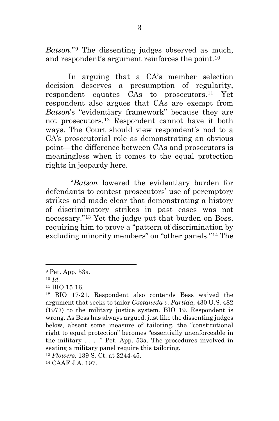*Batson*."[9](#page-6-0) The dissenting judges observed as much, and respondent's argument reinforces the point.[10](#page-6-1)

In arguing that a CA's member selection decision deserves a presumption of regularity, respondent equates CAs to prosecutors.[11](#page-6-2) Yet respondent also argues that CAs are exempt from *Batson*'s "evidentiary framework" because they are not prosecutors.[12](#page-6-3) Respondent cannot have it both ways. The Court should view respondent's nod to a CA's prosecutorial role as demonstrating an obvious point—the difference between CAs and prosecutors is meaningless when it comes to the equal protection rights in jeopardy here.

"*Batson* lowered the evidentiary burden for defendants to contest prosecutors' use of peremptory strikes and made clear that demonstrating a history of discriminatory strikes in past cases was not necessary."[13](#page-6-4) Yet the judge put that burden on Bess, requiring him to prove a "pattern of discrimination by excluding minority members" on "other panels."[14](#page-6-5) The

<span id="page-6-0"></span><sup>9</sup> Pet. App. 53a.

<span id="page-6-1"></span><sup>10</sup> *Id.*

<span id="page-6-3"></span><span id="page-6-2"></span><sup>&</sup>lt;sup>11</sup> BIO 15-16.<br><sup>12</sup> BIO 17-21. Respondent also contends Bess waived the argument that seeks to tailor *Castaneda v. Partida*, 430 U.S. 482 (1977) to the military justice system. BIO 19. Respondent is wrong. As Bess has always argued, just like the dissenting judges below, absent some measure of tailoring, the "constitutional right to equal protection" becomes "essentially unenforceable in the military . . . ." Pet. App. 53a. The procedures involved in seating a military panel require this tailoring.

<span id="page-6-4"></span><sup>13</sup> *Flowers,* 139 S. Ct. at 2244-45.

<span id="page-6-5"></span><sup>14</sup> CAAF J.A. 197.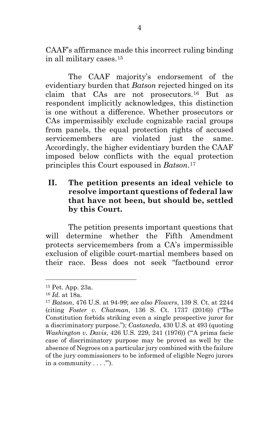CAAF's affirmance made this incorrect ruling binding in all military cases.[15](#page-7-0)

The CAAF majority's endorsement of the evidentiary burden that *Batson* rejected hinged on its claim that CAs are not prosecutors.[16](#page-7-1) But as respondent implicitly acknowledges, this distinction is one without a difference. Whether prosecutors or CAs impermissibly exclude cognizable racial groups from panels, the equal protection rights of accused servicemembers are violated just the same. Accordingly, the higher evidentiary burden the CAAF imposed below conflicts with the equal protection principles this Court espoused in *Batson*.[17](#page-7-2)

### **II. The petition presents an ideal vehicle to resolve important questions of federal law that have not been, but should be, settled by this Court.**

The petition presents important questions that will determine whether the Fifth Amendment protects servicemembers from a CA's impermissible exclusion of eligible court-martial members based on their race. Bess does not seek "factbound error

<span id="page-7-0"></span><sup>15</sup> Pet. App. 23a.

<span id="page-7-1"></span><sup>16</sup> *Id.* at 18a.

<span id="page-7-2"></span><sup>17</sup> *Batson*, 476 U.S. at 94-99; *see also Flowers*, 139 S. Ct. at 2244 (citing *Foster v. Chatman*, 136 S. Ct. 1737 (2016)) ("The Constitution forbids striking even a single prospective juror for a discriminatory purpose."); *Castaneda*, 430 U.S. at 493 (quoting *Washington v. Davis*, 426 U.S. 229, 241 (1976)) ("'A prima facie case of discriminatory purpose may be proved as well by the absence of Negroes on a particular jury combined with the failure of the jury commissioners to be informed of eligible Negro jurors in a community  $\dots$ .").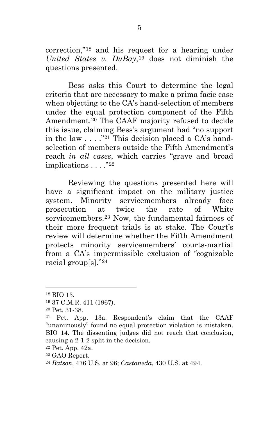correction,"[18](#page-8-0) and his request for a hearing under *United States v. DuBay*,[19](#page-8-1) does not diminish the questions presented.

Bess asks this Court to determine the legal criteria that are necessary to make a prima facie case when objecting to the CA's hand-selection of members under the equal protection component of the Fifth Amendment.[20](#page-8-2) The CAAF majority refused to decide this issue, claiming Bess's argument had "no support in the law  $\ldots$  ."<sup>[21](#page-8-3)</sup> This decision placed a CA's handselection of members outside the Fifth Amendment's reach *in all cases*, which carries "grave and broad implications . . . . "22"

Reviewing the questions presented here will have a significant impact on the military justice system. Minority servicemembers already face prosecution at twice the rate of White servicemembers.[23](#page-8-5) Now, the fundamental fairness of their more frequent trials is at stake. The Court's review will determine whether the Fifth Amendment protects minority servicemembers' courts-martial from a CA's impermissible exclusion of "cognizable racial group[s]."[24](#page-8-6)

<span id="page-8-0"></span><sup>18</sup> BIO 13.

<span id="page-8-1"></span><sup>19</sup> 37 C.M.R. 411 (1967).

<span id="page-8-2"></span><sup>20</sup> Pet. 31-38.

<span id="page-8-3"></span><sup>21</sup> Pet. App. 13a. Respondent's claim that the CAAF "unanimously" found no equal protection violation is mistaken. BIO 14. The dissenting judges did not reach that conclusion, causing a 2-1-2 split in the decision. 22 Pet. App. 42a.

<span id="page-8-4"></span>

<span id="page-8-6"></span><span id="page-8-5"></span><sup>23</sup> GAO Report. 24 *Batson*, 476 U.S. at 96; *Castaneda*, 430 U.S. at 494.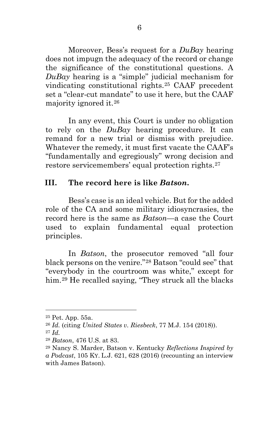Moreover, Bess's request for a *DuBay* hearing does not impugn the adequacy of the record or change the significance of the constitutional questions. A *DuBay* hearing is a "simple" judicial mechanism for vindicating constitutional rights.[25](#page-9-0) CAAF precedent set a "clear-cut mandate" to use it here, but the CAAF majority ignored it.[26](#page-9-1)

In any event, this Court is under no obligation to rely on the *DuBay* hearing procedure. It can remand for a new trial or dismiss with prejudice. Whatever the remedy, it must first vacate the CAAF's "fundamentally and egregiously" wrong decision and restore servicemembers' equal protection rights.[27](#page-9-2)

### **III. The record here is like** *Batson***.**

Bess's case is an ideal vehicle. But for the added role of the CA and some military idiosyncrasies, the record here is the same as *Batson*—a case the Court used to explain fundamental equal protection principles.

In *Batson*, the prosecutor removed "all four black persons on the venire."[28](#page-9-3) Batson "could see" that "everybody in the courtroom was white," except for him.[29](#page-9-4) He recalled saying, "They struck all the blacks

<span id="page-9-0"></span><sup>25</sup> Pet. App. 55a.

<span id="page-9-1"></span><sup>26</sup> *Id.* (citing *United States v. Riesbeck*, 77 M.J. 154 (2018)).

<span id="page-9-2"></span><sup>27</sup> *Id.*

<span id="page-9-3"></span><sup>28</sup> *Batson*, 476 U.S. at 83.

<span id="page-9-4"></span><sup>29</sup> Nancy S. Marder, Batson v. Kentucky *Reflections Inspired by a Podcast*, 105 KY. L.J. 621, 628 (2016) (recounting an interview with James Batson).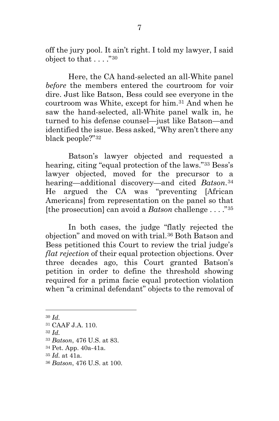off the jury pool. It ain't right. I told my lawyer, I said object to that . . . . "[30](#page-10-0)

Here, the CA hand-selected an all-White panel *before* the members entered the courtroom for voir dire. Just like Batson, Bess could see everyone in the courtroom was White, except for him.[31](#page-10-1) And when he saw the hand-selected, all-White panel walk in, he turned to his defense counsel—just like Batson—and identified the issue. Bess asked, "Why aren't there any black people?"[32](#page-10-2)

Batson's lawyer objected and requested a hearing, citing "equal protection of the laws."[33](#page-10-3) Bess's lawyer objected, moved for the precursor to a hearing—additional discovery—and cited *Batson*.[34](#page-10-4) He argued the CA was "preventing [African Americans] from representation on the panel so that [the prosecution] can avoid a *Batson* challenge . . . ."[35](#page-10-5)

In both cases, the judge "flatly rejected the objection" and moved on with trial.[36](#page-10-6) Both Batson and Bess petitioned this Court to review the trial judge's *flat rejection* of their equal protection objections. Over three decades ago, this Court granted Batson's petition in order to define the threshold showing required for a prima facie equal protection violation when "a criminal defendant" objects to the removal of

 $\overline{a}$ 

<span id="page-10-2"></span><sup>32</sup> *Id.*

<span id="page-10-0"></span><sup>30</sup> *Id.*

<span id="page-10-1"></span><sup>31</sup> CAAF J.A. 110.

<span id="page-10-3"></span><sup>33</sup> *Batson*, 476 U.S. at 83.

<span id="page-10-4"></span><sup>34</sup> Pet. App. 40a-41a.

<span id="page-10-5"></span><sup>35</sup> *Id.* at 41a.

<span id="page-10-6"></span><sup>36</sup> *Batson*, 476 U.S. at 100.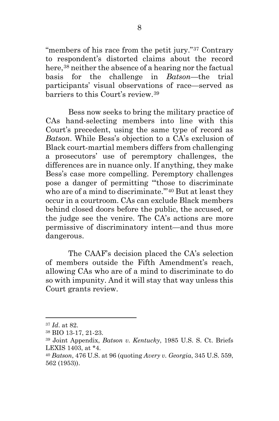"members of his race from the petit jury."[37](#page-11-0) Contrary to respondent's distorted claims about the record here,<sup>[38](#page-11-1)</sup> neither the absence of a hearing nor the factual basis for the challenge in *Batson*—the trial participants' visual observations of race—served as barriers to this Court's review.[39](#page-11-2)

Bess now seeks to bring the military practice of CAs hand-selecting members into line with this Court's precedent, using the same type of record as *Batson*. While Bess's objection to a CA's exclusion of Black court-martial members differs from challenging a prosecutors' use of peremptory challenges, the differences are in nuance only. If anything, they make Bess's case more compelling. Peremptory challenges pose a danger of permitting "'those to discriminate who are of a mind to discriminate.'"[40](#page-11-3) But at least they occur in a courtroom. CAs can exclude Black members behind closed doors before the public, the accused, or the judge see the venire. The CA's actions are more permissive of discriminatory intent—and thus more dangerous.

The CAAF's decision placed the CA's selection of members outside the Fifth Amendment's reach, allowing CAs who are of a mind to discriminate to do so with impunity. And it will stay that way unless this Court grants review.

<span id="page-11-0"></span><sup>37</sup> *Id*. at 82.

<span id="page-11-1"></span><sup>38</sup> BIO 13-17, 21-23.

<span id="page-11-2"></span><sup>39</sup> Joint Appendix, *Batson v. Kentucky*, 1985 U.S. S. Ct. Briefs LEXIS 1403, at \*4.

<span id="page-11-3"></span><sup>40</sup> *Batson*, 476 U.S. at 96 (quoting *Avery v. Georgia*, 345 U.S. 559, 562 (1953)).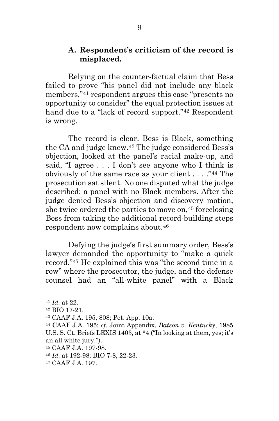### **A. Respondent's criticism of the record is misplaced.**

Relying on the counter-factual claim that Bess failed to prove "his panel did not include any black members,"[41](#page-12-0) respondent argues this case "presents no opportunity to consider" the equal protection issues at hand due to a "lack of record support."[42](#page-12-1) Respondent is wrong.

The record is clear. Bess is Black, something the CA and judge knew.[43](#page-12-2) The judge considered Bess's objection, looked at the panel's racial make-up, and said, "I agree . . . I don't see anyone who I think is obviously of the same race as your client  $\dots$ ."<sup>44</sup> The prosecution sat silent. No one disputed what the judge described: a panel with no Black members. After the judge denied Bess's objection and discovery motion, she twice ordered the parties to move on,<sup>[45](#page-12-4)</sup> foreclosing Bess from taking the additional record-building steps respondent now complains about.[46](#page-12-5)

Defying the judge's first summary order, Bess's lawyer demanded the opportunity to "make a quick record."[47](#page-12-6) He explained this was "the second time in a row" where the prosecutor, the judge, and the defense counsel had an "all-white panel" with a Black

<span id="page-12-1"></span><span id="page-12-0"></span><sup>41</sup> *Id.* at 22. 42 BIO 17-21.

<span id="page-12-2"></span><sup>43</sup> CAAF J.A. 195, 808; Pet. App. 10a.

<span id="page-12-3"></span><sup>44</sup> CAAF J.A. 195; *cf.* Joint Appendix, *Batson v. Kentucky*, 1985 U.S. S. Ct. Briefs LEXIS 1403, at \*4 ("In looking at them, yes; it's an all white jury.").

<span id="page-12-4"></span><sup>45</sup> CAAF J.A. 197-98.

<span id="page-12-5"></span><sup>46</sup> *Id.* at 192-98; BIO 7-8, 22-23.

<span id="page-12-6"></span><sup>47</sup> CAAF J.A. 197.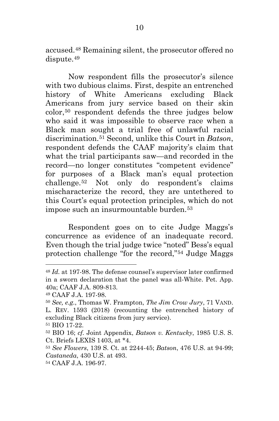accused.[48](#page-13-0) Remaining silent, the prosecutor offered no dispute.[49](#page-13-1)

Now respondent fills the prosecutor's silence with two dubious claims. First, despite an entrenched history of White Americans excluding Black Americans from jury service based on their skin color,[50](#page-13-2) respondent defends the three judges below who said it was impossible to observe race when a Black man sought a trial free of unlawful racial discrimination.[51](#page-13-3) Second, unlike this Court in *Batson*, respondent defends the CAAF majority's claim that what the trial participants saw—and recorded in the record—no longer constitutes "competent evidence" for purposes of a Black man's equal protection challenge.[52](#page-13-4) Not only do respondent's claims mischaracterize the record, they are untethered to this Court's equal protection principles, which do not impose such an insurmountable burden.<sup>[53](#page-13-5)</sup>

Respondent goes on to cite Judge Maggs's concurrence as evidence of an inadequate record. Even though the trial judge twice "noted" Bess's equal protection challenge "for the record,"[54](#page-13-6) Judge Maggs

<span id="page-13-0"></span><sup>48</sup> *Id.* at 197-98. The defense counsel's supervisor later confirmed in a sworn declaration that the panel was all-White. Pet. App. 40a; CAAF J.A. 809-813.

<span id="page-13-1"></span><sup>49</sup> CAAF J.A. 197-98.

<span id="page-13-2"></span><sup>50</sup> *See, e.g.*, Thomas W. Frampton, *The Jim Crow Jury*, 71 VAND. L. REV. 1593 (2018) (recounting the entrenched history of excluding Black citizens from jury service).

<span id="page-13-3"></span><sup>51</sup> BIO 17-22.

<span id="page-13-4"></span><sup>52</sup> BIO 16; *cf.* Joint Appendix, *Batson v. Kentucky*, 1985 U.S. S. Ct. Briefs LEXIS 1403, at \*4.

<span id="page-13-5"></span><sup>53</sup> *See Flowers*, 139 S. Ct. at 2244-45; *Batson*, 476 U.S. at 94-99; *Castaneda*, 430 U.S. at 493.

<span id="page-13-6"></span><sup>54</sup> CAAF J.A. 196-97.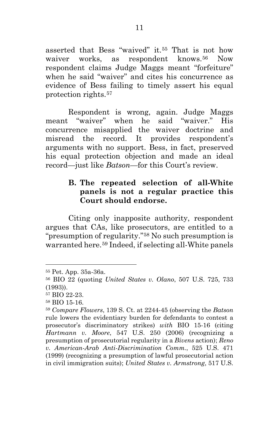asserted that Bess "waived" it.[55](#page-14-0) That is not how waiver works, as respondent knows.<sup>[56](#page-14-1)</sup> Now respondent claims Judge Maggs meant "forfeiture" when he said "waiver" and cites his concurrence as evidence of Bess failing to timely assert his equal protection rights.[57](#page-14-2)

Respondent is wrong, again. Judge Maggs meant "waiver" when he said "waiver." His concurrence misapplied the waiver doctrine and misread the record. It provides respondent's arguments with no support. Bess, in fact, preserved his equal protection objection and made an ideal record—just like *Batson*—for this Court's review.

### **B. The repeated selection of all-White panels is not a regular practice this Court should endorse.**

Citing only inapposite authority, respondent argues that CAs, like prosecutors, are entitled to a "presumption of regularity."[58](#page-14-3) No such presumption is warranted here.[59](#page-14-4) Indeed, if selecting all-White panels

<span id="page-14-0"></span><sup>55</sup> Pet. App. 35a-36a.

<span id="page-14-1"></span><sup>56</sup> BIO 22 (quoting *United States v. Olano*, 507 U.S. 725, 733

<span id="page-14-2"></span><sup>(1993)). 57</sup> BIO 22-23.

<span id="page-14-3"></span><sup>58</sup> BIO 15-16.

<span id="page-14-4"></span><sup>59</sup> *Compare Flowers*, 139 S. Ct. at 2244-45 (observing the *Batson* rule lowers the evidentiary burden for defendants to contest a prosecutor's discriminatory strikes) *with* BIO 15-16 (citing *Hartmann v. Moore*, 547 U.S. 250 (2006) (recognizing a presumption of prosecutorial regularity in a *Bivens* action); *Reno v. American-Arab Anti-Discrimination Comm.*, 525 U.S. 471 (1999) (recognizing a presumption of lawful prosecutorial action in civil immigration suits); *United States v. Armstrong*, 517 U.S.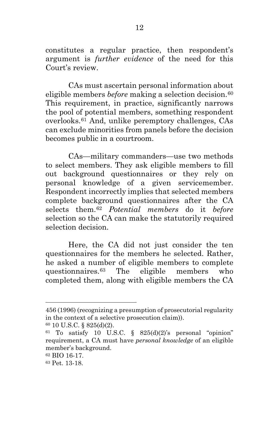constitutes a regular practice, then respondent's argument is *further evidence* of the need for this Court's review.

CAs must ascertain personal information about eligible members *before* making a selection decision.<sup>[60](#page-15-0)</sup> This requirement, in practice, significantly narrows the pool of potential members, something respondent overlooks.[61](#page-15-1) And, unlike peremptory challenges, CAs can exclude minorities from panels before the decision becomes public in a courtroom.

CAs—military commanders—use two methods to select members. They ask eligible members to fill out background questionnaires or they rely on personal knowledge of a given servicemember. Respondent incorrectly implies that selected members complete background questionnaires after the CA selects them.[62](#page-15-2) *Potential members* do it *before*  selection so the CA can make the statutorily required selection decision.

Here, the CA did not just consider the ten questionnaires for the members he selected. Rather, he asked a number of eligible members to complete questionnaires.[63](#page-15-3) The eligible members who completed them, along with eligible members the CA

<sup>456</sup> (1996) (recognizing a presumption of prosecutorial regularity in the context of a selective prosecution claim)).

<span id="page-15-0"></span><sup>60</sup> 10 U.S.C. § 825(d)(2).

<span id="page-15-1"></span> $61$  To satisfy 10 U.S.C. § 825(d)(2)'s personal "opinion" requirement, a CA must have *personal knowledge* of an eligible member's background.

<span id="page-15-2"></span><sup>62</sup> BIO 16-17.

<span id="page-15-3"></span><sup>63</sup> Pet. 13-18.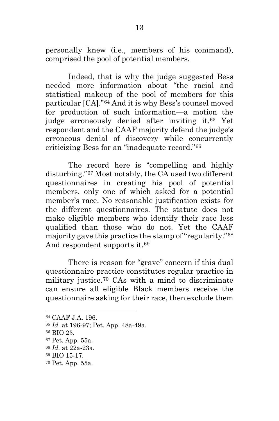personally knew (i.e., members of his command), comprised the pool of potential members.

Indeed, that is why the judge suggested Bess needed more information about "the racial and statistical makeup of the pool of members for this particular [CA]."[64](#page-16-0) And it is why Bess's counsel moved for production of such information—a motion the judge erroneously denied after inviting it.[65](#page-16-1) Yet respondent and the CAAF majority defend the judge's erroneous denial of discovery while concurrently criticizing Bess for an "inadequate record."[66](#page-16-2)

The record here is "compelling and highly disturbing."[67](#page-16-3) Most notably, the CA used two different questionnaires in creating his pool of potential members, only one of which asked for a potential member's race. No reasonable justification exists for the different questionnaires. The statute does not make eligible members who identify their race less qualified than those who do not. Yet the CAAF majority gave this practice the stamp of "regularity."[68](#page-16-4) And respondent supports it.<sup>[69](#page-16-5)</sup>

There is reason for "grave" concern if this dual questionnaire practice constitutes regular practice in military justice.[70](#page-16-6) CAs with a mind to discriminate can ensure all eligible Black members receive the questionnaire asking for their race, then exclude them

<span id="page-16-0"></span><sup>64</sup> CAAF J.A. 196.

<span id="page-16-1"></span><sup>65</sup> *Id.* at 196-97; Pet. App. 48a-49a.

<span id="page-16-2"></span><sup>66</sup> BIO 23.

<span id="page-16-3"></span><sup>67</sup> Pet. App. 55a.

<span id="page-16-4"></span><sup>68</sup> *Id.* at 22a-23a.

<span id="page-16-5"></span><sup>69</sup> BIO 15-17.

<span id="page-16-6"></span><sup>70</sup> Pet. App. 55a.